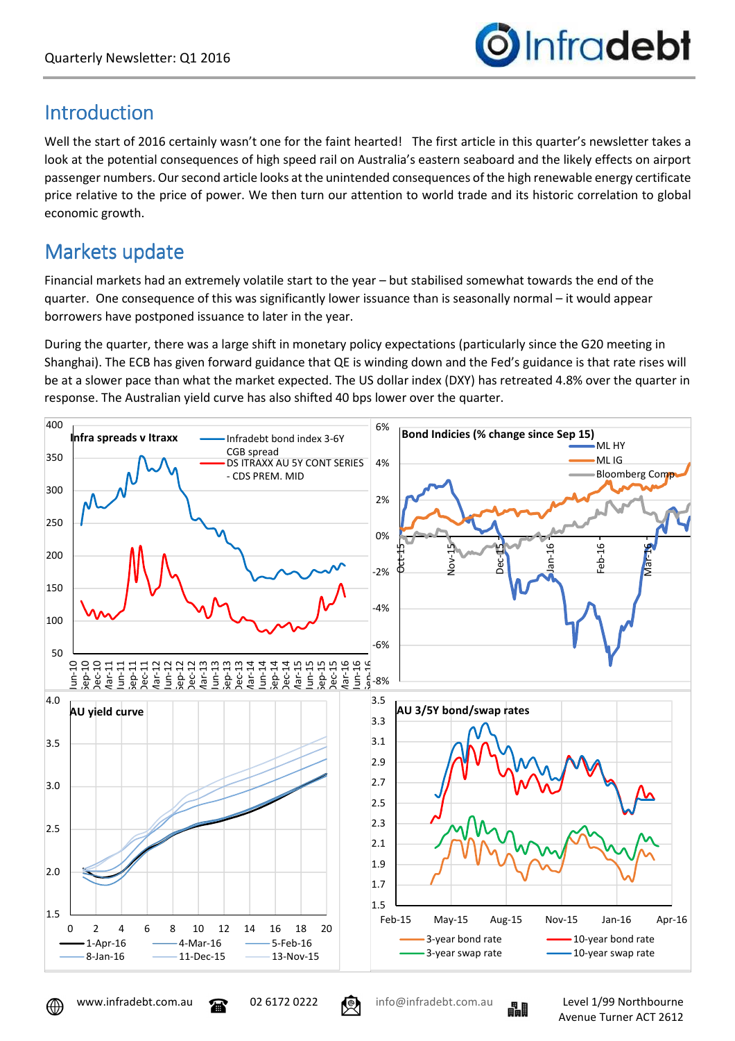

### Introduction

Well the start of 2016 certainly wasn't one for the faint hearted! The first article in this quarter's newsletter takes a look at the potential consequences of high speed rail on Australia's eastern seaboard and the likely effects on airport passenger numbers. Our second article looks at the unintended consequences of the high renewable energy certificate price relative to the price of power. We then turn our attention to world trade and its historic correlation to global economic growth.

### Markets update

Financial markets had an extremely volatile start to the year – but stabilised somewhat towards the end of the quarter. One consequence of this was significantly lower issuance than is seasonally normal – it would appear borrowers have postponed issuance to later in the year.

During the quarter, there was a large shift in monetary policy expectations (particularly since the G20 meeting in Shanghai). The ECB has given forward guidance that QE is winding down and the Fed's guidance is that rate rises will be at a slower pace than what the market expected. The US dollar index (DXY) has retreated 4.8% over the quarter in response. The Australian yield curve has also shifted 40 bps lower over the quarter.



⊕



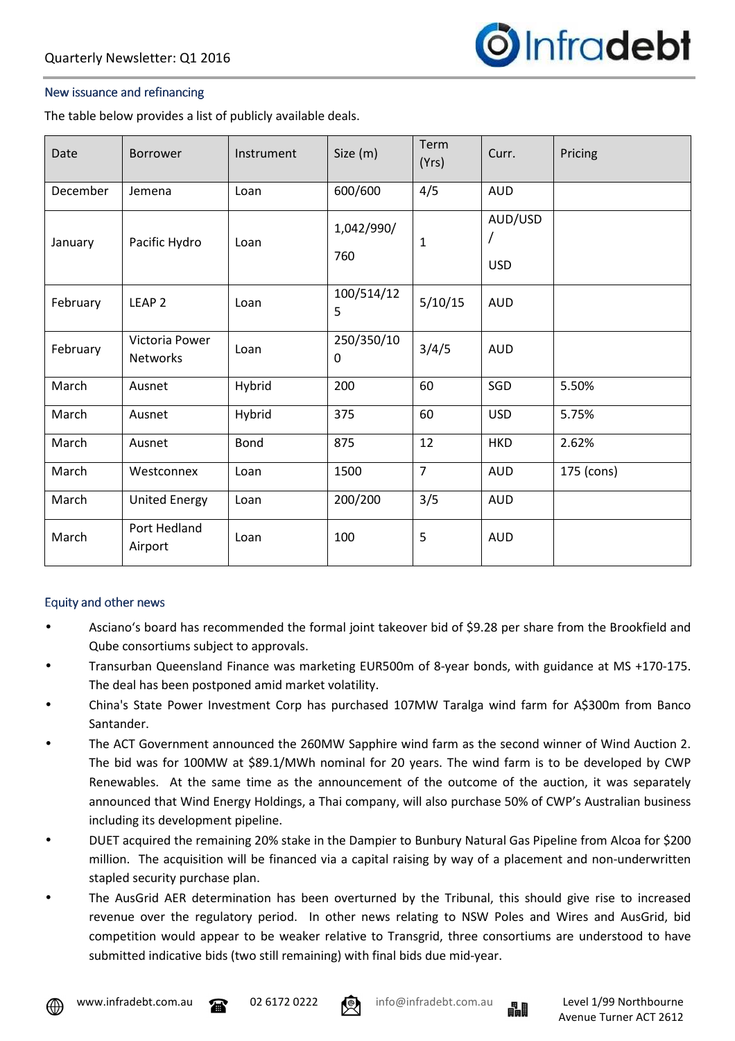

#### New issuance and refinancing

The table below provides a list of publicly available deals.

| Date     | <b>Borrower</b>                   | Instrument | Size (m)          | Term<br>(Yrs)  | Curr.                      | Pricing    |
|----------|-----------------------------------|------------|-------------------|----------------|----------------------------|------------|
| December | Jemena                            | Loan       | 600/600           | 4/5            | <b>AUD</b>                 |            |
| January  | Pacific Hydro                     | Loan       | 1,042/990/<br>760 | $\mathbf{1}$   | AUD/USD<br>7<br><b>USD</b> |            |
| February | LEAP <sub>2</sub>                 | Loan       | 100/514/12<br>5   | 5/10/15        | <b>AUD</b>                 |            |
| February | Victoria Power<br><b>Networks</b> | Loan       | 250/350/10<br>0   | 3/4/5          | <b>AUD</b>                 |            |
| March    | Ausnet                            | Hybrid     | 200               | 60             | SGD                        | 5.50%      |
| March    | Ausnet                            | Hybrid     | 375               | 60             | <b>USD</b>                 | 5.75%      |
| March    | Ausnet                            | Bond       | 875               | 12             | <b>HKD</b>                 | 2.62%      |
| March    | Westconnex                        | Loan       | 1500              | $\overline{7}$ | <b>AUD</b>                 | 175 (cons) |
| March    | <b>United Energy</b>              | Loan       | 200/200           | 3/5            | <b>AUD</b>                 |            |
| March    | Port Hedland<br>Airport           | Loan       | 100               | 5              | <b>AUD</b>                 |            |

#### Equity and other news

- Asciano's board has recommended the formal joint takeover bid of \$9.28 per share from the Brookfield and Qube consortiums subject to approvals.
- Transurban Queensland Finance was marketing EUR500m of 8-year bonds, with guidance at MS +170-175. The deal has been postponed amid market volatility.
- China's State Power Investment Corp has purchased 107MW Taralga wind farm for A\$300m from Banco Santander.
- The ACT Government announced the 260MW Sapphire wind farm as the second winner of Wind Auction 2. The bid was for 100MW at \$89.1/MWh nominal for 20 years. The wind farm is to be developed by CWP Renewables. At the same time as the announcement of the outcome of the auction, it was separately announced that Wind Energy Holdings, a Thai company, will also purchase 50% of CWP's Australian business including its development pipeline.
- DUET acquired the remaining 20% stake in the Dampier to Bunbury Natural Gas Pipeline from Alcoa for \$200 million. The acquisition will be financed via a capital raising by way of a placement and non-underwritten stapled security purchase plan.
- The AusGrid AER determination has been overturned by the Tribunal, this should give rise to increased revenue over the regulatory period. In other news relating to NSW Poles and Wires and AusGrid, bid competition would appear to be weaker relative to Transgrid, three consortiums are understood to have submitted indicative bids (two still remaining) with final bids due mid-year.





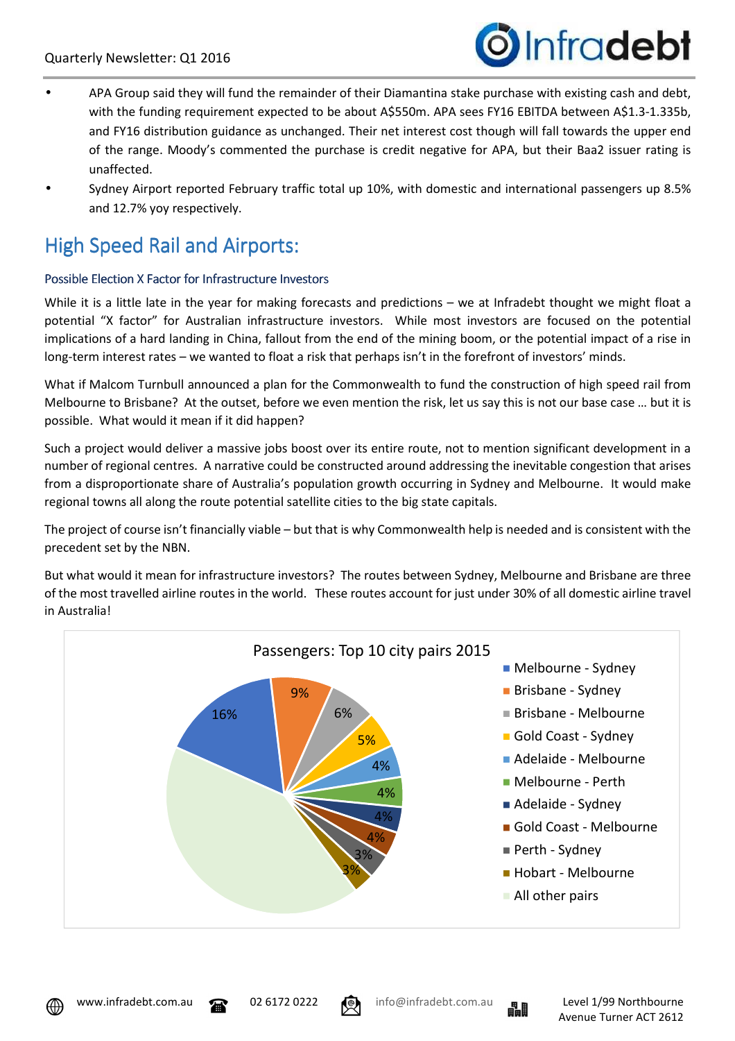

- APA Group said they will fund the remainder of their Diamantina stake purchase with existing cash and debt, with the funding requirement expected to be about A\$550m. APA sees FY16 EBITDA between A\$1.3-1.335b, and FY16 distribution guidance as unchanged. Their net interest cost though will fall towards the upper end of the range. Moody's commented the purchase is credit negative for APA, but their Baa2 issuer rating is unaffected.
- Sydney Airport reported February traffic total up 10%, with domestic and international passengers up 8.5% and 12.7% yoy respectively.

## High Speed Rail and Airports:

#### Possible Election X Factor for Infrastructure Investors

While it is a little late in the year for making forecasts and predictions – we at Infradebt thought we might float a potential "X factor" for Australian infrastructure investors. While most investors are focused on the potential implications of a hard landing in China, fallout from the end of the mining boom, or the potential impact of a rise in long-term interest rates – we wanted to float a risk that perhaps isn't in the forefront of investors' minds.

What if Malcom Turnbull announced a plan for the Commonwealth to fund the construction of high speed rail from Melbourne to Brisbane? At the outset, before we even mention the risk, let us say this is not our base case … but it is possible. What would it mean if it did happen?

Such a project would deliver a massive jobs boost over its entire route, not to mention significant development in a number of regional centres. A narrative could be constructed around addressing the inevitable congestion that arises from a disproportionate share of Australia's population growth occurring in Sydney and Melbourne. It would make regional towns all along the route potential satellite cities to the big state capitals.

The project of course isn't financially viable – but that is why Commonwealth help is needed and is consistent with the precedent set by the NBN.

But what would it mean for infrastructure investors? The routes between Sydney, Melbourne and Brisbane are three of the most travelled airline routes in the world. These routes account for just under 30% of all domestic airline travel in Australia!







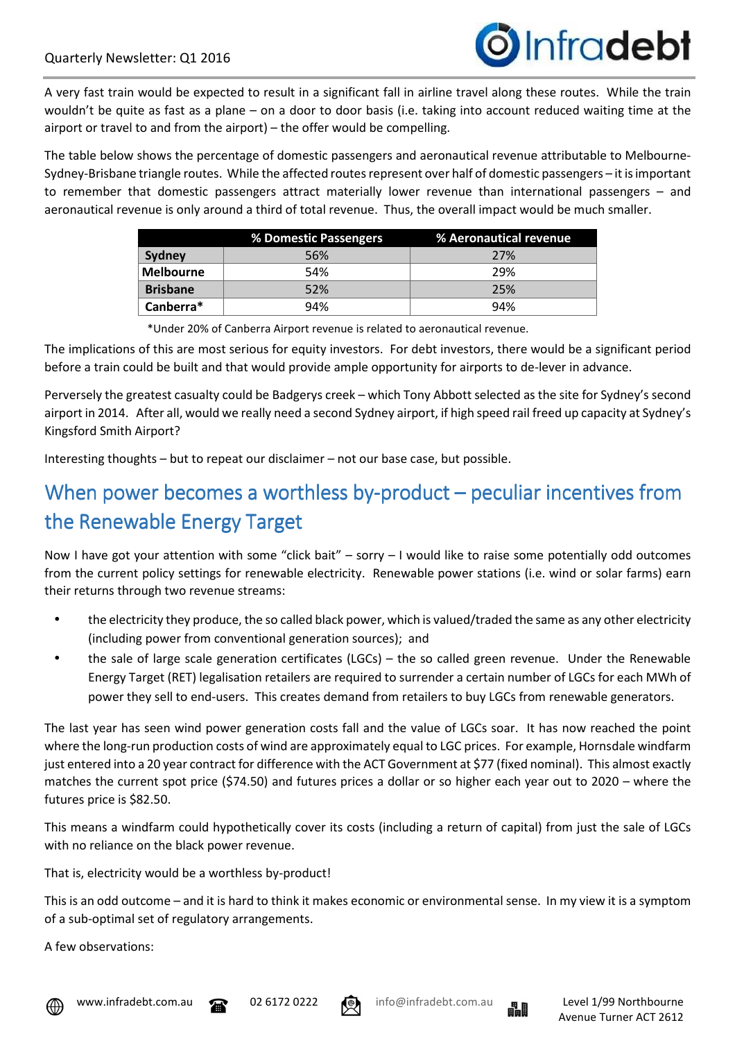

A very fast train would be expected to result in a significant fall in airline travel along these routes. While the train wouldn't be quite as fast as a plane – on a door to door basis (i.e. taking into account reduced waiting time at the airport or travel to and from the airport) – the offer would be compelling.

The table below shows the percentage of domestic passengers and aeronautical revenue attributable to Melbourne-Sydney-Brisbane triangle routes. While the affected routes represent over half of domestic passengers – it is important to remember that domestic passengers attract materially lower revenue than international passengers – and aeronautical revenue is only around a third of total revenue. Thus, the overall impact would be much smaller.

|                  | % Domestic Passengers | % Aeronautical revenue |
|------------------|-----------------------|------------------------|
| Sydney           | 56%                   | 27%                    |
| <b>Melbourne</b> | 54%                   | 29%                    |
| <b>Brisbane</b>  | 52%                   | 25%                    |
| Canberra*        | 94%                   | 94%                    |

\*Under 20% of Canberra Airport revenue is related to aeronautical revenue.

The implications of this are most serious for equity investors. For debt investors, there would be a significant period before a train could be built and that would provide ample opportunity for airports to de-lever in advance.

Perversely the greatest casualty could be Badgerys creek – which Tony Abbott selected as the site for Sydney's second airport in 2014. After all, would we really need a second Sydney airport, if high speed rail freed up capacity at Sydney's Kingsford Smith Airport?

Interesting thoughts – but to repeat our disclaimer – not our base case, but possible.

# When power becomes a worthless by-product – peculiar incentives from the Renewable Energy Target

Now I have got your attention with some "click bait" – sorry – I would like to raise some potentially odd outcomes from the current policy settings for renewable electricity. Renewable power stations (i.e. wind or solar farms) earn their returns through two revenue streams:

- the electricity they produce, the so called black power, which is valued/traded the same as any other electricity (including power from conventional generation sources); and
- the sale of large scale generation certificates (LGCs) the so called green revenue. Under the Renewable Energy Target (RET) legalisation retailers are required to surrender a certain number of LGCs for each MWh of power they sell to end-users. This creates demand from retailers to buy LGCs from renewable generators.

The last year has seen wind power generation costs fall and the value of LGCs soar. It has now reached the point where the long-run production costs of wind are approximately equal to LGC prices. For example, Hornsdale windfarm just entered into a 20 year contract for difference with the ACT Government at \$77 (fixed nominal). This almost exactly matches the current spot price (\$74.50) and futures prices a dollar or so higher each year out to 2020 – where the futures price is \$82.50.

This means a windfarm could hypothetically cover its costs (including a return of capital) from just the sale of LGCs with no reliance on the black power revenue.

That is, electricity would be a worthless by-product!

This is an odd outcome – and it is hard to think it makes economic or environmental sense. In my view it is a symptom of a sub-optimal set of regulatory arrangements.

A few observations:







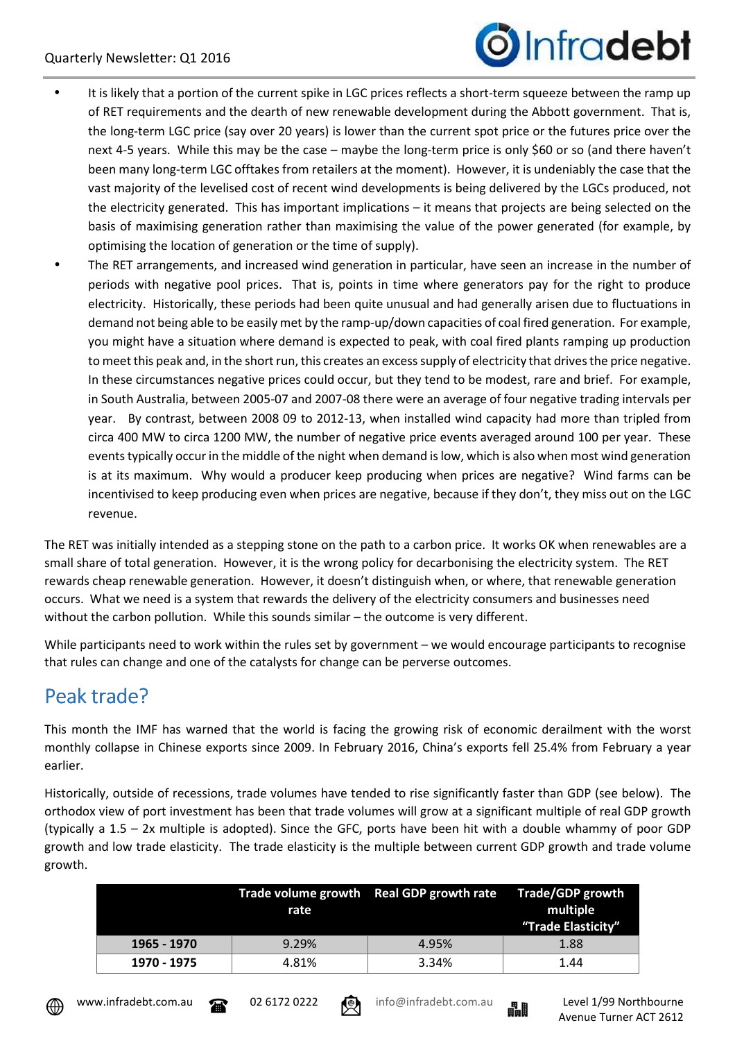

- It is likely that a portion of the current spike in LGC prices reflects a short-term squeeze between the ramp up of RET requirements and the dearth of new renewable development during the Abbott government. That is, the long-term LGC price (say over 20 years) is lower than the current spot price or the futures price over the next 4-5 years. While this may be the case – maybe the long-term price is only \$60 or so (and there haven't been many long-term LGC offtakes from retailers at the moment). However, it is undeniably the case that the vast majority of the levelised cost of recent wind developments is being delivered by the LGCs produced, not the electricity generated. This has important implications – it means that projects are being selected on the basis of maximising generation rather than maximising the value of the power generated (for example, by optimising the location of generation or the time of supply).
- The RET arrangements, and increased wind generation in particular, have seen an increase in the number of periods with negative pool prices. That is, points in time where generators pay for the right to produce electricity. Historically, these periods had been quite unusual and had generally arisen due to fluctuations in demand not being able to be easily met by the ramp-up/down capacities of coal fired generation. For example, you might have a situation where demand is expected to peak, with coal fired plants ramping up production to meet this peak and, in the short run, this creates an excess supply of electricity that drives the price negative. In these circumstances negative prices could occur, but they tend to be modest, rare and brief. For example, in South Australia, between 2005-07 and 2007-08 there were an average of four negative trading intervals per year. By contrast, between 2008 09 to 2012-13, when installed wind capacity had more than tripled from circa 400 MW to circa 1200 MW, the number of negative price events averaged around 100 per year. These events typically occur in the middle of the night when demand is low, which is also when most wind generation is at its maximum. Why would a producer keep producing when prices are negative? Wind farms can be incentivised to keep producing even when prices are negative, because if they don't, they miss out on the LGC revenue.

The RET was initially intended as a stepping stone on the path to a carbon price. It works OK when renewables are a small share of total generation. However, it is the wrong policy for decarbonising the electricity system. The RET rewards cheap renewable generation. However, it doesn't distinguish when, or where, that renewable generation occurs. What we need is a system that rewards the delivery of the electricity consumers and businesses need without the carbon pollution. While this sounds similar – the outcome is very different.

While participants need to work within the rules set by government – we would encourage participants to recognise that rules can change and one of the catalysts for change can be perverse outcomes.

## Peak trade?

This month the IMF has warned that the world is facing the growing risk of economic derailment with the worst monthly collapse in Chinese exports since 2009. In February 2016, China's exports fell 25.4% from February a year earlier.

Historically, outside of recessions, trade volumes have tended to rise significantly faster than GDP (see below). The orthodox view of port investment has been that trade volumes will grow at a significant multiple of real GDP growth (typically a 1.5 – 2x multiple is adopted). Since the GFC, ports have been hit with a double whammy of poor GDP growth and low trade elasticity. The trade elasticity is the multiple between current GDP growth and trade volume growth.

|             | rate  | Trade volume growth Real GDP growth rate Trade/GDP growth | multiple<br>"Trade Elasticity" |
|-------------|-------|-----------------------------------------------------------|--------------------------------|
| 1965 - 1970 | 9.29% | 4.95%                                                     | 1.88                           |
| 1970 - 1975 | 4.81% | 3.34%                                                     | 1.44                           |







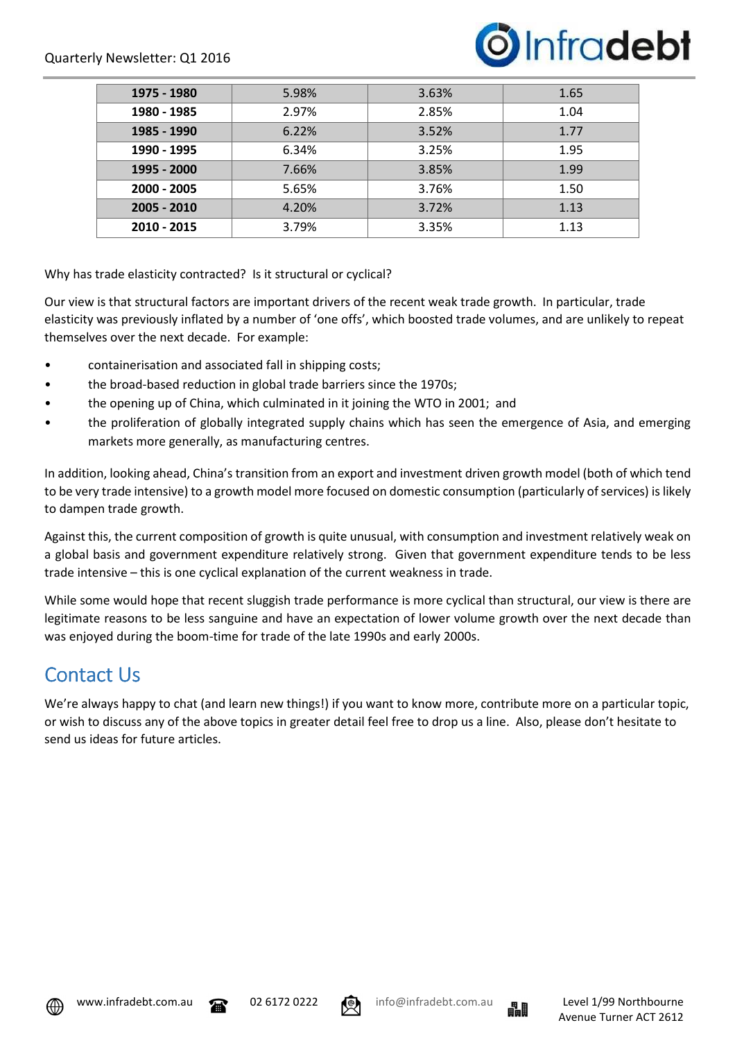

| 1975 - 1980 | 5.98% | 3.63% | 1.65 |
|-------------|-------|-------|------|
| 1980 - 1985 | 2.97% | 2.85% | 1.04 |
| 1985 - 1990 | 6.22% | 3.52% | 1.77 |
| 1990 - 1995 | 6.34% | 3.25% | 1.95 |
| 1995 - 2000 | 7.66% | 3.85% | 1.99 |
| 2000 - 2005 | 5.65% | 3.76% | 1.50 |
| 2005 - 2010 | 4.20% | 3.72% | 1.13 |
| 2010 - 2015 | 3.79% | 3.35% | 1.13 |

Why has trade elasticity contracted? Is it structural or cyclical?

Our view is that structural factors are important drivers of the recent weak trade growth. In particular, trade elasticity was previously inflated by a number of 'one offs', which boosted trade volumes, and are unlikely to repeat themselves over the next decade. For example:

- containerisation and associated fall in shipping costs;
- the broad-based reduction in global trade barriers since the 1970s;
- the opening up of China, which culminated in it joining the WTO in 2001; and
- the proliferation of globally integrated supply chains which has seen the emergence of Asia, and emerging markets more generally, as manufacturing centres.

In addition, looking ahead, China's transition from an export and investment driven growth model (both of which tend to be very trade intensive) to a growth model more focused on domestic consumption (particularly of services) is likely to dampen trade growth.

Against this, the current composition of growth is quite unusual, with consumption and investment relatively weak on a global basis and government expenditure relatively strong. Given that government expenditure tends to be less trade intensive – this is one cyclical explanation of the current weakness in trade.

While some would hope that recent sluggish trade performance is more cyclical than structural, our view is there are legitimate reasons to be less sanguine and have an expectation of lower volume growth over the next decade than was enjoyed during the boom-time for trade of the late 1990s and early 2000s.

### Contact Us

We're always happy to chat (and learn new things!) if you want to know more, contribute more on a particular topic, or wish to discuss any of the above topics in greater detail feel free to drop us a line. Also, please don't hesitate to send us ideas for future articles.